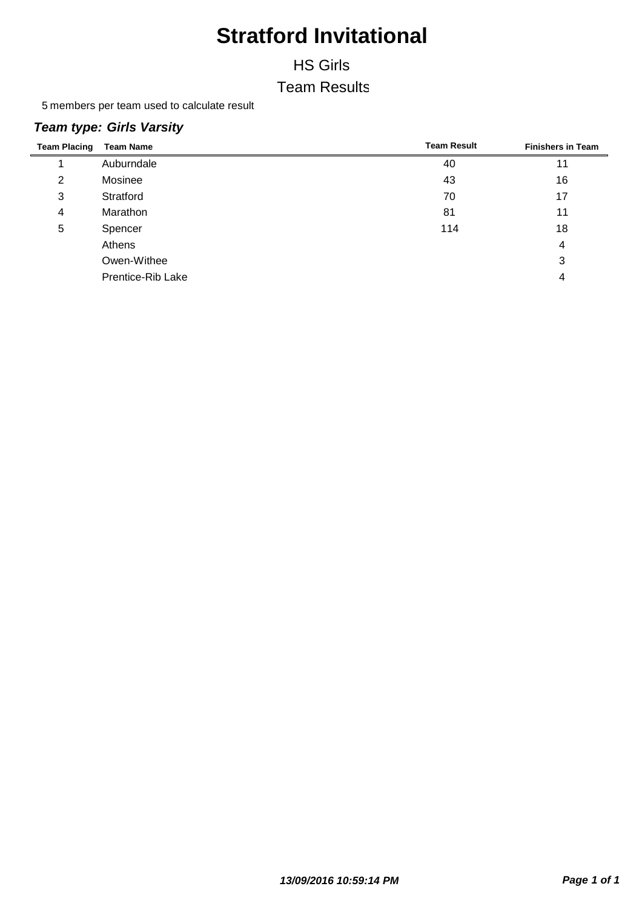#### HS Girls

#### Team Results

5 members per team used to calculate result

#### *Team type: Girls Varsity*

| <b>Team Placing</b> | <b>Team Name</b>  | <b>Team Result</b> | <b>Finishers in Team</b> |
|---------------------|-------------------|--------------------|--------------------------|
|                     | Auburndale        | 40                 |                          |
| 2                   | Mosinee           | 43                 | 16                       |
| 3                   | Stratford         | 70                 | 17                       |
| 4                   | Marathon          | 81                 | 11                       |
| 5                   | Spencer           | 114                | 18                       |
|                     | Athens            |                    | 4                        |
|                     | Owen-Withee       |                    | 3                        |
|                     | Prentice-Rib Lake |                    | 4                        |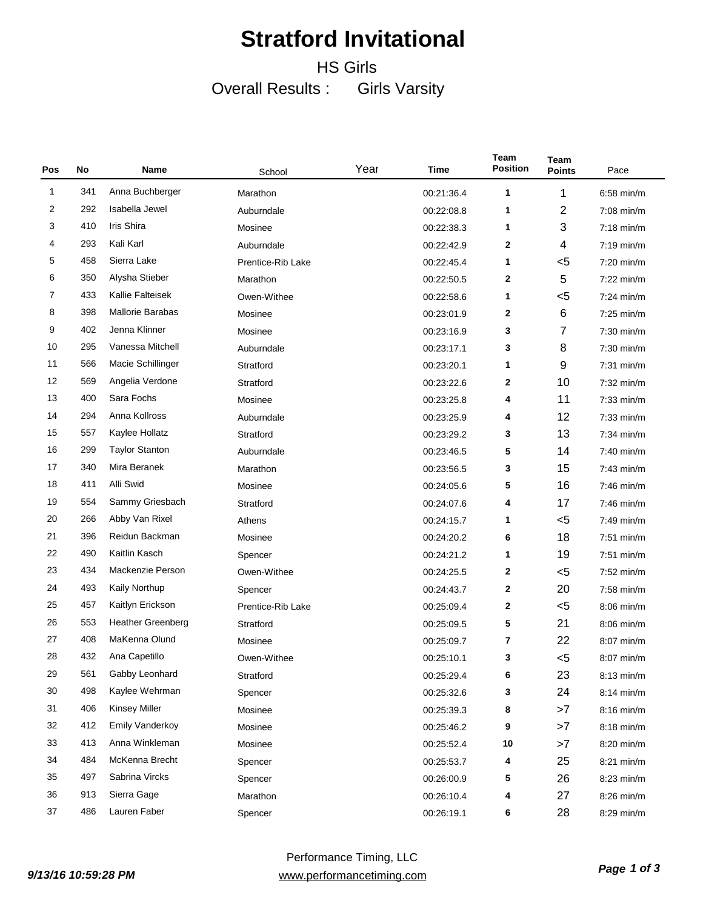### HS Girls Overall Results : Girls Varsity

| Pos | No  | Name                     | School            | Year | Time       | Team<br><b>Position</b> | <b>Team</b><br><b>Points</b> | Pace         |
|-----|-----|--------------------------|-------------------|------|------------|-------------------------|------------------------------|--------------|
| 1   | 341 | Anna Buchberger          | Marathon          |      | 00:21:36.4 | 1                       | 1                            | $6.58$ min/m |
| 2   | 292 | Isabella Jewel           | Auburndale        |      | 00:22:08.8 | 1                       | 2                            | $7:08$ min/m |
| 3   | 410 | Iris Shira               | Mosinee           |      | 00:22:38.3 | 1                       | 3                            | $7:18$ min/m |
| 4   | 293 | Kali Karl                | Auburndale        |      | 00:22:42.9 | 2                       | 4                            | $7:19$ min/m |
| 5   | 458 | Sierra Lake              | Prentice-Rib Lake |      | 00:22:45.4 | 1                       | $5$                          | $7:20$ min/m |
| 6   | 350 | Alysha Stieber           | Marathon          |      | 00:22:50.5 | 2                       | 5                            | $7:22$ min/m |
| 7   | 433 | Kallie Falteisek         | Owen-Withee       |      | 00:22:58.6 | 1                       | $5$                          | $7:24$ min/m |
| 8   | 398 | <b>Mallorie Barabas</b>  | Mosinee           |      | 00:23:01.9 | 2                       | 6                            | $7:25$ min/m |
| 9   | 402 | Jenna Klinner            | Mosinee           |      | 00:23:16.9 | 3                       | 7                            | 7:30 min/m   |
| 10  | 295 | Vanessa Mitchell         | Auburndale        |      | 00:23:17.1 | 3                       | 8                            | $7:30$ min/m |
| 11  | 566 | Macie Schillinger        | Stratford         |      | 00:23:20.1 | 1                       | 9                            | $7:31$ min/m |
| 12  | 569 | Angelia Verdone          | Stratford         |      | 00:23:22.6 | 2                       | 10                           | $7:32$ min/m |
| 13  | 400 | Sara Fochs               | Mosinee           |      | 00:23:25.8 | 4                       | 11                           | $7:33$ min/m |
| 14  | 294 | Anna Kollross            | Auburndale        |      | 00:23:25.9 | 4                       | 12                           | $7:33$ min/m |
| 15  | 557 | Kaylee Hollatz           | Stratford         |      | 00:23:29.2 | 3                       | 13                           | $7:34$ min/m |
| 16  | 299 | <b>Taylor Stanton</b>    | Auburndale        |      | 00:23:46.5 | 5                       | 14                           | 7:40 min/m   |
| 17  | 340 | Mira Beranek             | Marathon          |      | 00:23:56.5 | 3                       | 15                           | $7:43$ min/m |
| 18  | 411 | Alli Swid                | Mosinee           |      | 00:24:05.6 | 5                       | 16                           | $7:46$ min/m |
| 19  | 554 | Sammy Griesbach          | Stratford         |      | 00:24:07.6 | 4                       | 17                           | $7:46$ min/m |
| 20  | 266 | Abby Van Rixel           | Athens            |      | 00:24:15.7 | 1                       | $5$                          | 7:49 min/m   |
| 21  | 396 | Reidun Backman           | Mosinee           |      | 00:24:20.2 | 6                       | 18                           | $7:51$ min/m |
| 22  | 490 | Kaitlin Kasch            | Spencer           |      | 00:24:21.2 | 1                       | 19                           | $7:51$ min/m |
| 23  | 434 | Mackenzie Person         | Owen-Withee       |      | 00:24:25.5 | 2                       | $5$                          | $7:52$ min/m |
| 24  | 493 | Kaily Northup            | Spencer           |      | 00:24:43.7 | 2                       | 20                           | 7:58 min/m   |
| 25  | 457 | Kaitlyn Erickson         | Prentice-Rib Lake |      | 00:25:09.4 | 2                       | $5$                          | $8:06$ min/m |
| 26  | 553 | <b>Heather Greenberg</b> | Stratford         |      | 00:25:09.5 | 5                       | 21                           | $8:06$ min/m |
| 27  | 408 | MaKenna Olund            | Mosinee           |      | 00:25:09.7 | 7                       | 22                           | 8:07 min/m   |
| 28  | 432 | Ana Capetillo            | Owen-Withee       |      | 00:25:10.1 | 3                       | $5$                          | 8:07 min/m   |
| 29  | 561 | Gabby Leonhard           | Stratford         |      | 00:25:29.4 | 6                       | 23                           | 8:13 min/m   |
| 30  | 498 | Kaylee Wehrman           | Spencer           |      | 00:25:32.6 | 3                       | 24                           | $8:14$ min/m |
| 31  | 406 | <b>Kinsey Miller</b>     | Mosinee           |      | 00:25:39.3 | 8                       | >7                           | $8:16$ min/m |
| 32  | 412 | <b>Emily Vanderkoy</b>   | Mosinee           |      | 00:25:46.2 | 9                       | >7                           | 8:18 min/m   |
| 33  | 413 | Anna Winkleman           | Mosinee           |      | 00:25:52.4 | 10                      | >7                           | $8:20$ min/m |
| 34  | 484 | McKenna Brecht           | Spencer           |      | 00:25:53.7 | 4                       | 25                           | 8:21 min/m   |
| 35  | 497 | Sabrina Vircks           | Spencer           |      | 00:26:00.9 | 5                       | 26                           | 8:23 min/m   |
| 36  | 913 | Sierra Gage              | Marathon          |      | 00:26:10.4 | 4                       | 27                           | 8:26 min/m   |
| 37  | 486 | Lauren Faber             | Spencer           |      | 00:26:19.1 | 6                       | 28                           | 8:29 min/m   |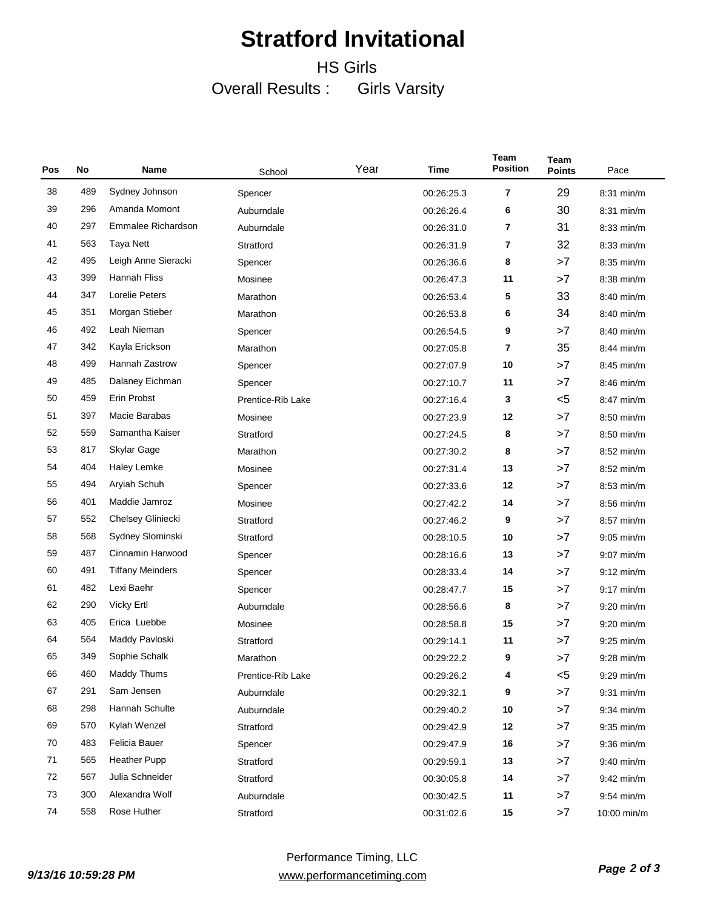### HS Girls Overall Results : Girls Varsity

| Pos | No  | Name                    | School            | Year | Time       | Team<br><b>Position</b> | <b>Team</b><br><b>Points</b> | Pace         |
|-----|-----|-------------------------|-------------------|------|------------|-------------------------|------------------------------|--------------|
| 38  | 489 | Sydney Johnson          | Spencer           |      | 00:26:25.3 | 7                       | 29                           | 8:31 min/m   |
| 39  | 296 | Amanda Momont           | Auburndale        |      | 00:26:26.4 | 6                       | 30                           | 8:31 min/m   |
| 40  | 297 | Emmalee Richardson      | Auburndale        |      | 00:26:31.0 | 7                       | 31                           | 8:33 min/m   |
| 41  | 563 | Taya Nett               | Stratford         |      | 00:26:31.9 | 7                       | 32                           | 8:33 min/m   |
| 42  | 495 | Leigh Anne Sieracki     | Spencer           |      | 00:26:36.6 | 8                       | >7                           | 8:35 min/m   |
| 43  | 399 | Hannah Fliss            | Mosinee           |      | 00:26:47.3 | 11                      | >7                           | 8:38 min/m   |
| 44  | 347 | Lorelie Peters          | Marathon          |      | 00:26:53.4 | 5                       | 33                           | $8:40$ min/m |
| 45  | 351 | Morgan Stieber          | Marathon          |      | 00:26:53.8 | 6                       | 34                           | 8:40 min/m   |
| 46  | 492 | Leah Nieman             | Spencer           |      | 00:26:54.5 | 9                       | >7                           | 8:40 min/m   |
| 47  | 342 | Kayla Erickson          | Marathon          |      | 00:27:05.8 | 7                       | 35                           | 8:44 min/m   |
| 48  | 499 | Hannah Zastrow          | Spencer           |      | 00:27:07.9 | 10                      | >7                           | 8:45 min/m   |
| 49  | 485 | Dalaney Eichman         | Spencer           |      | 00:27:10.7 | 11                      | >7                           | 8:46 min/m   |
| 50  | 459 | Erin Probst             | Prentice-Rib Lake |      | 00:27:16.4 | 3                       | $5$                          | $8:47$ min/m |
| 51  | 397 | Macie Barabas           | Mosinee           |      | 00:27:23.9 | 12                      | >7                           | 8:50 min/m   |
| 52  | 559 | Samantha Kaiser         | Stratford         |      | 00:27:24.5 | 8                       | >7                           | 8:50 min/m   |
| 53  | 817 | Skylar Gage             | Marathon          |      | 00:27:30.2 | 8                       | >7                           | 8:52 min/m   |
| 54  | 404 | Haley Lemke             | Mosinee           |      | 00:27:31.4 | 13                      | >7                           | $8:52$ min/m |
| 55  | 494 | Aryiah Schuh            | Spencer           |      | 00:27:33.6 | 12                      | >7                           | 8:53 min/m   |
| 56  | 401 | Maddie Jamroz           | Mosinee           |      | 00:27:42.2 | 14                      | >7                           | 8:56 min/m   |
| 57  | 552 | Chelsey Gliniecki       | Stratford         |      | 00:27:46.2 | 9                       | >7                           | 8:57 min/m   |
| 58  | 568 | Sydney Slominski        | Stratford         |      | 00:28:10.5 | 10                      | >7                           | $9:05$ min/m |
| 59  | 487 | Cinnamin Harwood        | Spencer           |      | 00:28:16.6 | 13                      | >7                           | $9:07$ min/m |
| 60  | 491 | <b>Tiffany Meinders</b> | Spencer           |      | 00:28:33.4 | 14                      | >7                           | $9:12$ min/m |
| 61  | 482 | Lexi Baehr              | Spencer           |      | 00:28:47.7 | 15                      | >7                           | $9:17$ min/m |
| 62  | 290 | Vicky Ertl              | Auburndale        |      | 00:28:56.6 | 8                       | >7                           | $9:20$ min/m |
| 63  | 405 | Erica Luebbe            | Mosinee           |      | 00:28:58.8 | 15                      | >7                           | $9:20$ min/m |
| 64  | 564 | Maddy Pavloski          | Stratford         |      | 00:29:14.1 | 11                      | >7                           | $9:25$ min/m |
| 65  | 349 | Sophie Schalk           | Marathon          |      | 00:29:22.2 | 9                       | >7                           | $9:28$ min/m |
| 66  | 460 | Maddy Thums             | Prentice-Rib Lake |      | 00:29:26.2 | 4                       | $5$                          | 9:29 min/m   |
| 67  | 291 | Sam Jensen              | Auburndale        |      | 00:29:32.1 | 9                       | >7                           | $9:31$ min/m |
| 68  | 298 | Hannah Schulte          | Auburndale        |      | 00:29:40.2 | 10                      | >7                           | $9:34$ min/m |
| 69  | 570 | Kylah Wenzel            | Stratford         |      | 00:29:42.9 | 12                      | >7                           | $9:35$ min/m |
| 70  | 483 | Felicia Bauer           | Spencer           |      | 00:29:47.9 | 16                      | >7                           | $9:36$ min/m |
| 71  | 565 | <b>Heather Pupp</b>     | Stratford         |      | 00:29:59.1 | 13                      | >7                           | $9:40$ min/m |
| 72  | 567 | Julia Schneider         | Stratford         |      | 00:30:05.8 | 14                      | >7                           | $9:42$ min/m |
| 73  | 300 | Alexandra Wolf          | Auburndale        |      | 00:30:42.5 | 11                      | >7                           | $9:54$ min/m |
| 74  | 558 | Rose Huther             | Stratford         |      | 00:31:02.6 | 15                      | >7                           | 10:00 min/m  |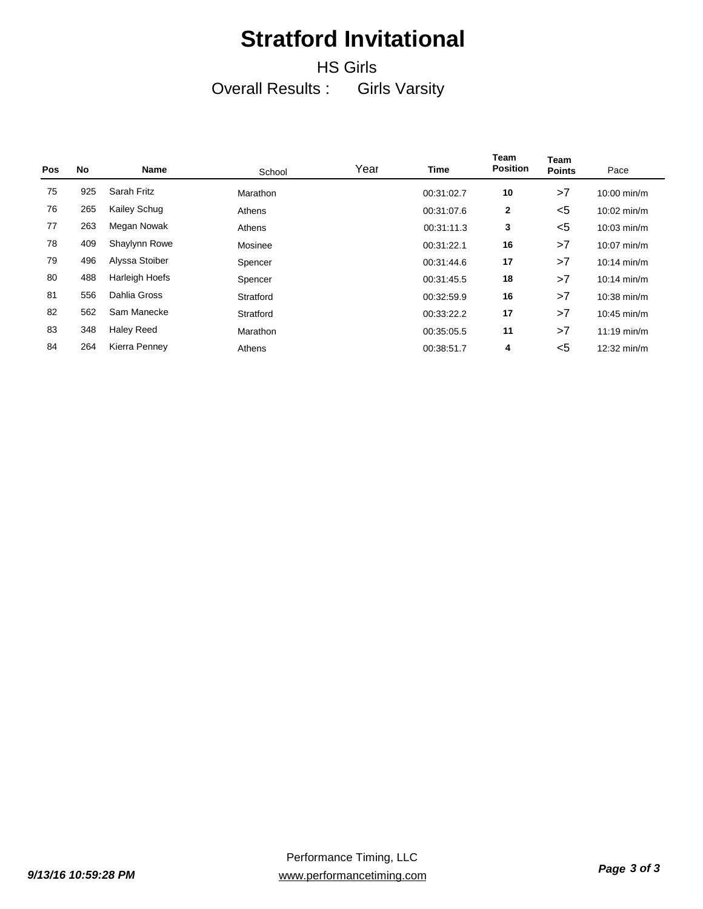### HS Girls Overall Results : Girls Varsity

| <b>Pos</b> | No  | <b>Name</b>           | School    | Year | <b>Time</b> | <b>Team</b><br><b>Position</b> | Team<br><b>Points</b> | Pace          |
|------------|-----|-----------------------|-----------|------|-------------|--------------------------------|-----------------------|---------------|
| 75         | 925 | Sarah Fritz           | Marathon  |      | 00:31:02.7  | 10                             | >7                    | 10:00 min/m   |
| 76         | 265 | Kailey Schug          | Athens    |      | 00:31:07.6  | $\overline{2}$                 | $<$ 5                 | $10:02$ min/m |
| 77         | 263 | Megan Nowak           | Athens    |      | 00:31:11.3  | 3                              | $<$ 5                 | $10:03$ min/m |
| 78         | 409 | Shaylynn Rowe         | Mosinee   |      | 00:31:22.1  | 16                             | >7                    | $10:07$ min/m |
| 79         | 496 | Alyssa Stoiber        | Spencer   |      | 00:31:44.6  | 17                             | >7                    | $10:14$ min/m |
| 80         | 488 | <b>Harleigh Hoefs</b> | Spencer   |      | 00:31:45.5  | 18                             | >7                    | $10:14$ min/m |
| 81         | 556 | Dahlia Gross          | Stratford |      | 00:32:59.9  | 16                             | >7                    | $10:38$ min/m |
| 82         | 562 | Sam Manecke           | Stratford |      | 00:33:22.2  | 17                             | >7                    | $10:45$ min/m |
| 83         | 348 | <b>Haley Reed</b>     | Marathon  |      | 00:35:05.5  | 11                             | >7                    | $11:19$ min/m |
| 84         | 264 | Kierra Penney         | Athens    |      | 00:38:51.7  | 4                              | $<$ 5                 | 12:32 min/m   |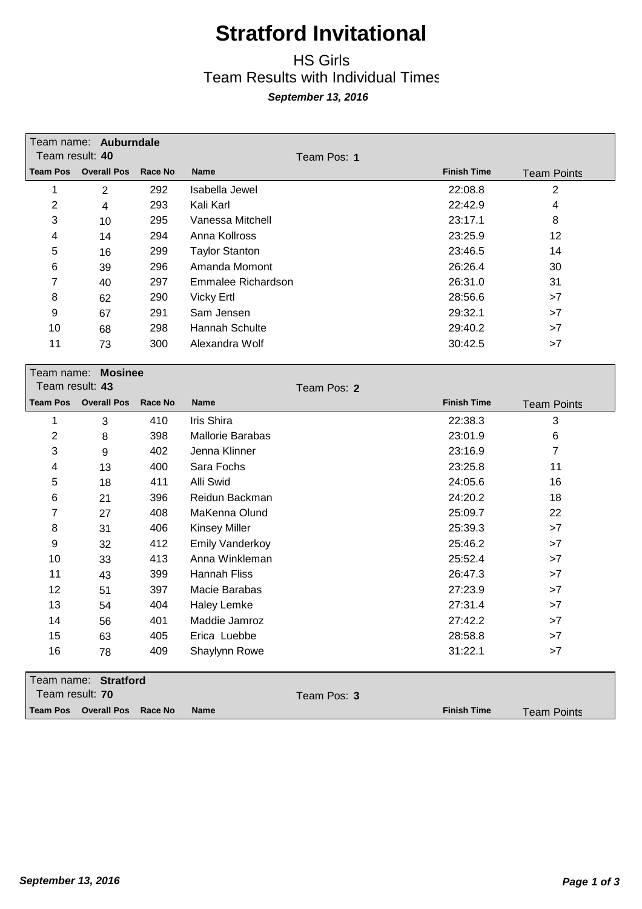### HS Girls Team Results with Individual Times *September 13, 2016*

|                 | Team name: Auburndale |         |                       |                    |                    |
|-----------------|-----------------------|---------|-----------------------|--------------------|--------------------|
| Team result: 40 |                       |         | Team Pos: 1           |                    |                    |
| <b>Team Pos</b> | <b>Overall Pos</b>    | Race No | <b>Name</b>           | <b>Finish Time</b> | <b>Team Points</b> |
|                 | 2                     | 292     | Isabella Jewel        | 22:08.8            | 2                  |
| 2               | 4                     | 293     | Kali Karl             | 22:42.9            | 4                  |
| 3               | 10                    | 295     | Vanessa Mitchell      | 23:17.1            | 8                  |
| 4               | 14                    | 294     | Anna Kollross         | 23:25.9            | 12                 |
| 5               | 16                    | 299     | <b>Taylor Stanton</b> | 23:46.5            | 14                 |
| 6               | 39                    | 296     | Amanda Momont         | 26:26.4            | 30                 |
| 7               | 40                    | 297     | Emmalee Richardson    | 26:31.0            | 31                 |
| 8               | 62                    | 290     | <b>Vicky Ertl</b>     | 28:56.6            | >7                 |
| 9               | 67                    | 291     | Sam Jensen            | 29:32.1            | >7                 |
| 10              | 68                    | 298     | Hannah Schulte        | 29:40.2            | >7                 |
| 11              | 73                    | 300     | Alexandra Wolf        | 30:42.5            | >7                 |
|                 |                       |         |                       |                    |                    |

| Team name:<br>Team result: 43 | <b>Mosinee</b>     |                |                        | Team Pos: 2 |                    |                    |
|-------------------------------|--------------------|----------------|------------------------|-------------|--------------------|--------------------|
| <b>Team Pos</b>               | <b>Overall Pos</b> | <b>Race No</b> | <b>Name</b>            |             | <b>Finish Time</b> | <b>Team Points</b> |
| 1                             | 3                  | 410            | Iris Shira             |             | 22:38.3            | 3                  |
| 2                             | 8                  | 398            | Mallorie Barabas       |             | 23:01.9            | 6                  |
| 3                             | 9                  | 402            | Jenna Klinner          |             | 23:16.9            | 7                  |
| 4                             | 13                 | 400            | Sara Fochs             |             | 23:25.8            | 11                 |
| 5                             | 18                 | 411            | Alli Swid              |             | 24:05.6            | 16                 |
| 6                             | 21                 | 396            | Reidun Backman         |             | 24:20.2            | 18                 |
| 7                             | 27                 | 408            | MaKenna Olund          |             | 25:09.7            | 22                 |
| 8                             | 31                 | 406            | <b>Kinsey Miller</b>   |             | 25:39.3            | >7                 |
| 9                             | 32                 | 412            | <b>Emily Vanderkoy</b> |             | 25:46.2            | >7                 |
| 10                            | 33                 | 413            | Anna Winkleman         |             | 25:52.4            | >7                 |
| 11                            | 43                 | 399            | Hannah Fliss           |             | 26:47.3            | >7                 |
| 12                            | 51                 | 397            | Macie Barabas          |             | 27:23.9            | >7                 |
| 13                            | 54                 | 404            | <b>Haley Lemke</b>     |             | 27:31.4            | >7                 |
| 14                            | 56                 | 401            | Maddie Jamroz          |             | 27:42.2            | >7                 |
| 15                            | 63                 | 405            | Erica Luebbe           |             | 28:58.8            | >7                 |
| 16                            | 78                 | 409            | Shaylynn Rowe          |             | 31:22.1            | >7                 |
| Team name:                    | <b>Stratford</b>   |                |                        |             |                    |                    |
| Team result: 70               |                    |                |                        | Team Pos: 3 |                    |                    |

**Team Pos Overall Pos Race No Name Finish Time**

Team Points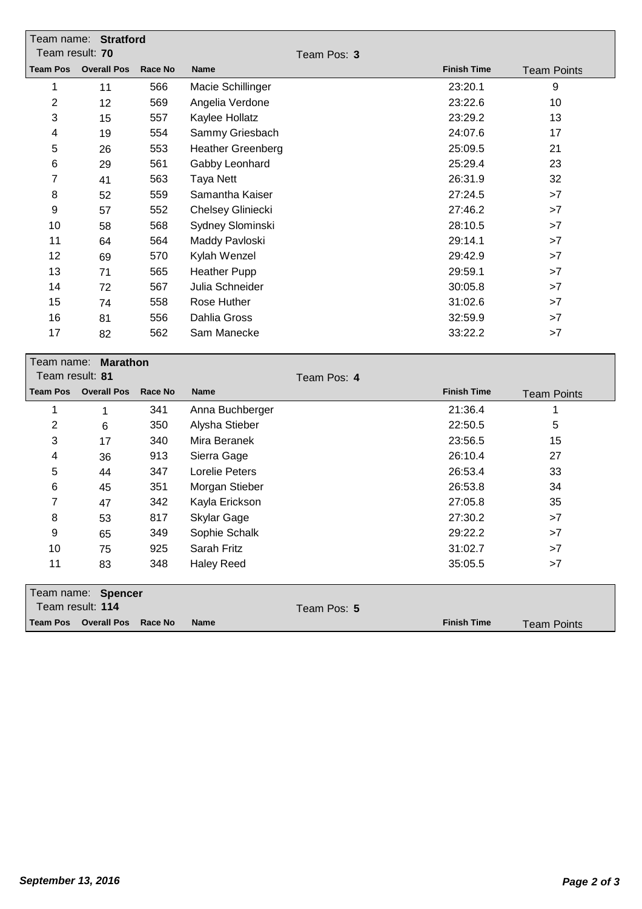|                 | Team name: Stratford        |                |                          |             |                    |                    |
|-----------------|-----------------------------|----------------|--------------------------|-------------|--------------------|--------------------|
| Team result: 70 |                             |                |                          | Team Pos: 3 |                    |                    |
|                 | <b>Team Pos</b> Overall Pos | <b>Race No</b> | <b>Name</b>              |             | <b>Finish Time</b> | <b>Team Points</b> |
| 1               | 11                          | 566            | Macie Schillinger        |             | 23:20.1            | 9                  |
| $\overline{c}$  | 12                          | 569            | Angelia Verdone          |             | 23:22.6            | 10                 |
| 3               | 15                          | 557            | Kaylee Hollatz           |             | 23:29.2            | 13                 |
| 4               | 19                          | 554            | Sammy Griesbach          |             | 24:07.6            | 17                 |
| 5               | 26                          | 553            | <b>Heather Greenberg</b> |             | 25:09.5            | 21                 |
| 6               | 29                          | 561            | Gabby Leonhard           |             | 25:29.4            | 23                 |
| 7               | 41                          | 563            | <b>Taya Nett</b>         |             | 26:31.9            | 32                 |
| 8               | 52                          | 559            | Samantha Kaiser          |             | 27:24.5            | >7                 |
| 9               | 57                          | 552            | Chelsey Gliniecki        |             | 27:46.2            | $>7$               |
| 10              | 58                          | 568            | Sydney Slominski         |             | 28:10.5            | >7                 |
| 11              | 64                          | 564            | Maddy Pavloski           |             | 29:14.1            | >7                 |
| 12              | 69                          | 570            | Kylah Wenzel             |             | 29:42.9            | >7                 |
| 13              | 71                          | 565            | <b>Heather Pupp</b>      |             | 29:59.1            | >7                 |
| 14              | 72                          | 567            | Julia Schneider          |             | 30:05.8            | >7                 |
| 15              | 74                          | 558            | Rose Huther              |             | 31:02.6            | >7                 |
| 16              | 81                          | 556            | Dahlia Gross             |             | 32:59.9            | >7                 |
| 17              | 82                          | 562            | Sam Manecke              |             | 33:22.2            | >7                 |
|                 |                             |                |                          |             |                    |                    |
| Team name:      | <b>Marathon</b>             |                |                          |             |                    |                    |
| Team result: 81 |                             |                |                          | Team Pos: 4 |                    |                    |
| <b>Team Pos</b> | <b>Overall Pos</b>          | Race No        | <b>Name</b>              |             | <b>Finish Time</b> | <b>Team Points</b> |
| 1               | $\mathbf 1$                 | 341            | Anna Buchberger          |             | 21:36.4            | $\mathbf 1$        |
| $\overline{c}$  | 6                           | 350            | Alysha Stieber           |             | 22:50.5            | 5                  |
| 3               | 17                          | 340            | Mira Beranek             |             | 23:56.5            | 15                 |
| 4               | 36                          | 913            | Sierra Gage              |             | 26:10.4            | 27                 |
| 5               | 44                          | 347            | <b>Lorelie Peters</b>    |             | 26:53.4            | 33                 |
| 6               | 45                          | 351            | Morgan Stieber           |             | 26:53.8            | 34                 |
| 7               | 47                          | 342            | Kayla Erickson           |             | 27:05.8            | 35                 |
| 8               | 53                          | 817            | <b>Skylar Gage</b>       |             | 27:30.2            | >7                 |
| 9               | 65                          | 349            | Sophie Schalk            |             | 29:22.2            | >7                 |
| 10              | 75                          | 925            | Sarah Fritz              |             | 31:02.7            | >7                 |
| 11              | 83                          | 348            | <b>Haley Reed</b>        |             | 35:05.5            | >7                 |

| Team name: Spencer                          |             |                    |                    |
|---------------------------------------------|-------------|--------------------|--------------------|
| Team result: 114                            | Team Pos: 5 |                    |                    |
| Team Pos Overall Pos Race No<br><b>Name</b> |             | <b>Finish Time</b> | <b>Team Points</b> |